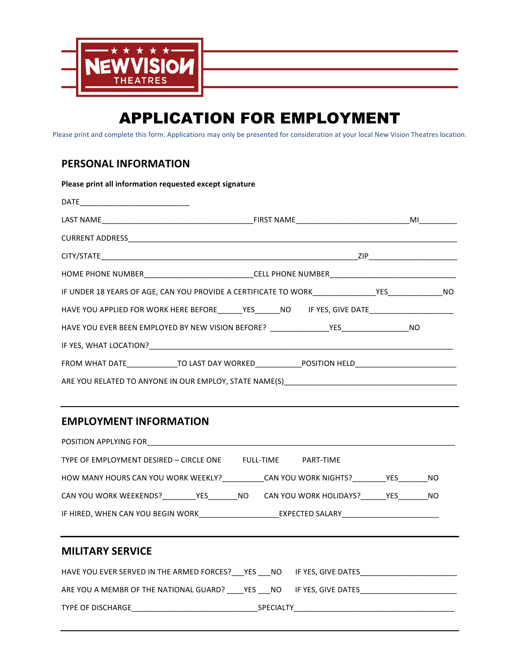

# APPLICATION FOR EMPLOYMENT

Please print and complete this form. Applications may only be presented for consideration at your local New Vision Theatres location.

### **PERSONAL INFORMATION**

| Please print all information requested except signature                                             |  |  |
|-----------------------------------------------------------------------------------------------------|--|--|
|                                                                                                     |  |  |
|                                                                                                     |  |  |
|                                                                                                     |  |  |
|                                                                                                     |  |  |
|                                                                                                     |  |  |
|                                                                                                     |  |  |
| HAVE YOU APPLIED FOR WORK HERE BEFORE______YES______NO IF YES, GIVE DATE______________________      |  |  |
|                                                                                                     |  |  |
|                                                                                                     |  |  |
| FROM WHAT DATE______________TO LAST DAY WORKED______________POSITION HELD__________________________ |  |  |
|                                                                                                     |  |  |

## **EMPLOYMENT INFORMATION**

| POSITION APPLYING FOR                                             |                  |                               |  |  |
|-------------------------------------------------------------------|------------------|-------------------------------|--|--|
| TYPE OF EMPLOYMENT DESIRED - CIRCLE ONE                           | <b>FULL-TIME</b> | PART-TIME                     |  |  |
| HOW MANY HOURS CAN YOU WORK WEEKLY? CAN YOU WORK NIGHTS? THES THO |                  |                               |  |  |
| CAN YOU WORK WEEKENDS? YES NO                                     |                  | CAN YOU WORK HOLIDAYS? YES NO |  |  |
| IF HIRED, WHEN CAN YOU BEGIN WORK EXPECTED SALARY                 |                  |                               |  |  |

### **MILITARY SERVICE**

| HAVE YOU EVER SERVED IN THE ARMED FORCES? YES NO IF YES, GIVE DATES |                  |  |
|---------------------------------------------------------------------|------------------|--|
| ARE YOU A MEMBR OF THE NATIONAL GUARD?                              |                  |  |
| TYPE OF DISCHARGE                                                   | <b>SPECIALTY</b> |  |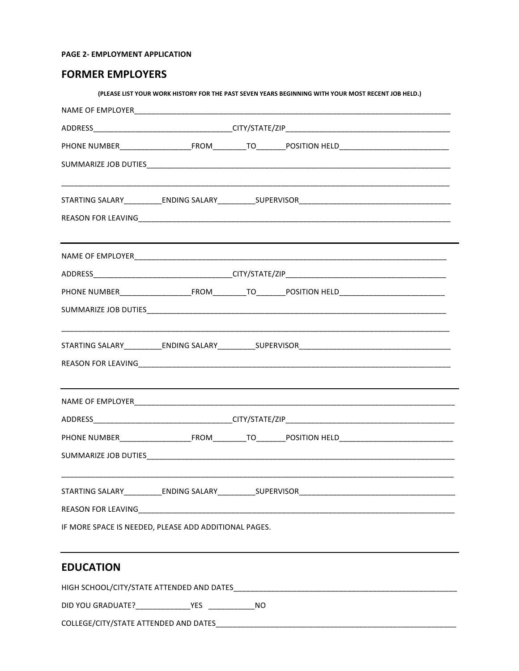### PAGE 2- EMPLOYMENT APPLICATION

### **FORMER EMPLOYERS**

|                                                       |  |  | (PLEASE LIST YOUR WORK HISTORY FOR THE PAST SEVEN YEARS BEGINNING WITH YOUR MOST RECENT JOB HELD.) |  |
|-------------------------------------------------------|--|--|----------------------------------------------------------------------------------------------------|--|
|                                                       |  |  |                                                                                                    |  |
|                                                       |  |  |                                                                                                    |  |
|                                                       |  |  |                                                                                                    |  |
|                                                       |  |  |                                                                                                    |  |
|                                                       |  |  |                                                                                                    |  |
|                                                       |  |  |                                                                                                    |  |
|                                                       |  |  |                                                                                                    |  |
|                                                       |  |  |                                                                                                    |  |
|                                                       |  |  |                                                                                                    |  |
|                                                       |  |  |                                                                                                    |  |
|                                                       |  |  |                                                                                                    |  |
|                                                       |  |  |                                                                                                    |  |
|                                                       |  |  |                                                                                                    |  |
|                                                       |  |  |                                                                                                    |  |
|                                                       |  |  |                                                                                                    |  |
|                                                       |  |  |                                                                                                    |  |
|                                                       |  |  |                                                                                                    |  |
|                                                       |  |  |                                                                                                    |  |
| IF MORE SPACE IS NEEDED, PLEASE ADD ADDITIONAL PAGES. |  |  |                                                                                                    |  |
| <b>EDUCATION</b>                                      |  |  |                                                                                                    |  |

HIGH SCHOOL/CITY/STATE ATTENDED AND DATES **And CONTENTS AT A CONTROLLER ATTENTS AND** COLLEGE/CITY/STATE ATTENDED AND DATES